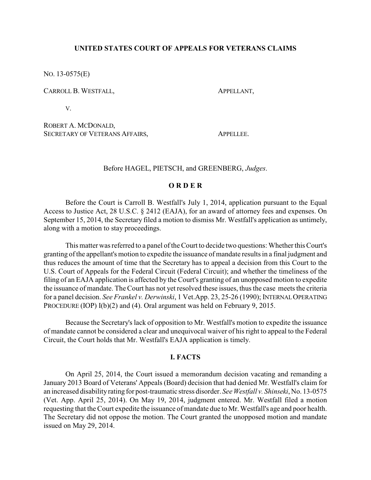# **UNITED STATES COURT OF APPEALS FOR VETERANS CLAIMS**

NO. 13-0575(E)

CARROLL B. WESTFALL, APPELLANT,

V.

ROBERT A. MCDONALD, SECRETARY OF VETERANS AFFAIRS, APPELLEE.

Before HAGEL, PIETSCH, and GREENBERG, *Judges*.

# **O R D E R**

Before the Court is Carroll B. Westfall's July 1, 2014, application pursuant to the Equal Access to Justice Act, 28 U.S.C. § 2412 (EAJA), for an award of attorney fees and expenses. On September 15, 2014, the Secretary filed a motion to dismiss Mr. Westfall's application as untimely, along with a motion to stay proceedings.

This matter was referred to a panel of the Court to decide two questions: Whether this Court's granting of the appellant's motion to expedite the issuance of mandate results in a final judgment and thus reduces the amount of time that the Secretary has to appeal a decision from this Court to the U.S. Court of Appeals for the Federal Circuit (Federal Circuit); and whether the timeliness of the filing of an EAJA application is affected by the Court's granting of an unopposed motion to expedite the issuance of mandate. The Court has not yet resolved these issues, thus the case meets the criteria for a panel decision. *See Frankel v. Derwinski*, 1 Vet.App. 23, 25-26 (1990); INTERNALOPERATING PROCEDURE (IOP) I(b)(2) and (4). Oral argument was held on February 9, 2015.

Because the Secretary's lack of opposition to Mr. Westfall's motion to expedite the issuance of mandate cannot be considered a clear and unequivocal waiver of his right to appeal to the Federal Circuit, the Court holds that Mr. Westfall's EAJA application is timely.

## **I. FACTS**

On April 25, 2014, the Court issued a memorandum decision vacating and remanding a January 2013 Board of Veterans' Appeals (Board) decision that had denied Mr. Westfall's claim for an increased disability rating for post-traumatic stress disorder. *See Westfall v. Shinseki*, No. 13-0575 (Vet. App. April 25, 2014). On May 19, 2014, judgment entered. Mr. Westfall filed a motion requesting that the Court expedite the issuance of mandate due to Mr. Westfall's age and poor health. The Secretary did not oppose the motion. The Court granted the unopposed motion and mandate issued on May 29, 2014.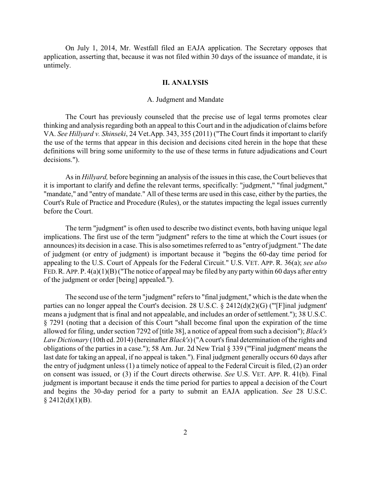On July 1, 2014, Mr. Westfall filed an EAJA application. The Secretary opposes that application, asserting that, because it was not filed within 30 days of the issuance of mandate, it is untimely.

#### **II. ANALYSIS**

### A. Judgment and Mandate

The Court has previously counseled that the precise use of legal terms promotes clear thinking and analysis regarding both an appeal to this Court and in the adjudication of claims before VA. *See Hillyard v. Shinseki*, 24 Vet.App. 343, 355 (2011) ("The Court finds it important to clarify the use of the terms that appear in this decision and decisions cited herein in the hope that these definitions will bring some uniformity to the use of these terms in future adjudications and Court decisions.").

As in *Hillyard,* before beginning an analysis of the issues in this case, the Court believes that it is important to clarify and define the relevant terms, specifically: "judgment," "final judgment," "mandate," and "entry of mandate." All of these terms are used in this case, either by the parties, the Court's Rule of Practice and Procedure (Rules), or the statutes impacting the legal issues currently before the Court.

The term "judgment" is often used to describe two distinct events, both having unique legal implications. The first use of the term "judgment" refers to the time at which the Court issues (or announces) its decision in a case. This is also sometimes referred to as "entry of judgment." The date of judgment (or entry of judgment) is important because it "begins the 60-day time period for appealing to the U.S. Court of Appeals for the Federal Circuit." U.S. VET. APP. R. 36(a); *see also* FED. R. APP. P.  $4(a)(1)(B)$  ("The notice of appeal may be filed by any party within 60 days after entry of the judgment or order [being] appealed.").

The second use of the term "judgment" refers to "final judgment," which is the date when the parties can no longer appeal the Court's decision. 28 U.S.C. § 2412(d)(2)(G) ("'[F]inal judgment' means a judgment that is final and not appealable, and includes an order of settlement."); 38 U.S.C. § 7291 (noting that a decision of this Court "shall become final upon the expiration of the time allowed for filing, under section 7292 of [title 38], a notice of appeal from such a decision"); *Black's Law Dictionary* (10th ed. 2014) (hereinafter *Black's*) ("A court's final determination of the rights and obligations of the parties in a case."); 58 Am. Jur. 2d New Trial § 339 ("'Final judgment' means the last date for taking an appeal, if no appeal is taken."). Final judgment generally occurs 60 days after the entry of judgment unless (1) a timely notice of appeal to the Federal Circuit is filed, (2) an order on consent was issued, or (3) if the Court directs otherwise. *See* U.S. VET. APP. R. 41(b). Final judgment is important because it ends the time period for parties to appeal a decision of the Court and begins the 30-day period for a party to submit an EAJA application. *See* 28 U.S.C.  $$2412(d)(1)(B).$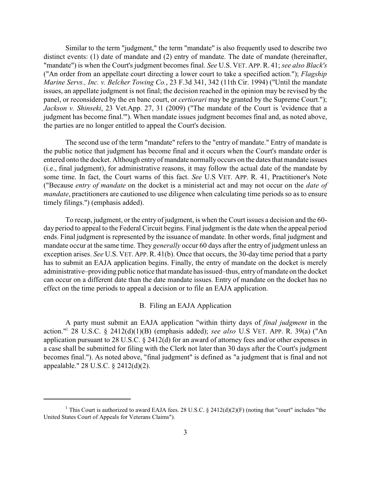Similar to the term "judgment," the term "mandate" is also frequently used to describe two distinct events: (1) date of mandate and (2) entry of mandate. The date of mandate (hereinafter, "mandate") is when the Court's judgment becomes final. *See* U.S. VET. APP.R. 41; *see also Black's* ("An order from an appellate court directing a lower court to take a specified action."); *Flagship Marine Servs., Inc. v. Belcher Towing Co.*, 23 F.3d 341, 342 (11th Cir. 1994) ("Until the mandate issues, an appellate judgment is not final; the decision reached in the opinion may be revised by the panel, or reconsidered by the en banc court, or *certiorari* may be granted by the Supreme Court."); *Jackson v. Shinseki*, 23 Vet.App. 27, 31 (2009) ("The mandate of the Court is 'evidence that a judgment has become final.'"). When mandate issues judgment becomes final and, as noted above, the parties are no longer entitled to appeal the Court's decision.

The second use of the term "mandate" refers to the "entry of mandate." Entry of mandate is the public notice that judgment has become final and it occurs when the Court's mandate order is entered onto the docket. Although entry of mandate normally occurs on the dates that mandate issues (i.e., final judgment), for administrative reasons, it may follow the actual date of the mandate by some time. In fact, the Court warns of this fact. *See* U.S VET. APP. R. 41, Practitioner's Note ("Because *entry of mandate* on the docket is a ministerial act and may not occur on the *date of mandate*, practitioners are cautioned to use diligence when calculating time periods so as to ensure timely filings.") (emphasis added).

To recap, judgment, or the entry of judgment, is when the Court issues a decision and the 60 day period to appeal to the Federal Circuit begins. Final judgment is the date when the appeal period ends. Final judgment is represented by the issuance of mandate. In other words, final judgment and mandate occur at the same time. They *generally* occur 60 days after the entry of judgment unless an exception arises. *See* U.S. VET. APP.R. 41(b). Once that occurs, the 30-day time period that a party has to submit an EAJA application begins. Finally, the entry of mandate on the docket is merely administrative–providing public notice that mandate has issued–thus, entryof mandate on the docket can occur on a different date than the date mandate issues. Entry of mandate on the docket has no effect on the time periods to appeal a decision or to file an EAJA application.

## B. Filing an EAJA Application

A party must submit an EAJA application "within thirty days of *final judgment* in the action." 28 U.S.C. § 2412(d)(1)(B) (emphasis added); *see also* U.S VET. APP. R. 39(a) ("An <sup>1</sup> application pursuant to 28 U.S.C. § 2412(d) for an award of attorney fees and/or other expenses in a case shall be submitted for filing with the Clerk not later than 30 days after the Court's judgment becomes final."). As noted above, "final judgment" is defined as "a judgment that is final and not appealable." 28 U.S.C. § 2412(d)(2).

<sup>&</sup>lt;sup>1</sup> This Court is authorized to award EAJA fees. 28 U.S.C. § 2412(d)(2)(F) (noting that "court" includes "the United States Court of Appeals for Veterans Claims").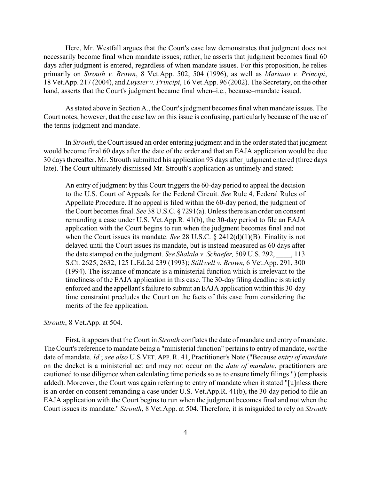Here, Mr. Westfall argues that the Court's case law demonstrates that judgment does not necessarily become final when mandate issues; rather, he asserts that judgment becomes final 60 days after judgment is entered, regardless of when mandate issues. For this proposition, he relies primarily on *Strouth v. Brown*, 8 Vet.App. 502, 504 (1996), as well as *Mariano v. Principi*, 18 Vet.App. 217 (2004), and *Luyster v. Principi*, 16 Vet.App. 96 (2002). The Secretary, on the other hand, asserts that the Court's judgment became final when–i.e., because–mandate issued.

As stated above in Section A., the Court's judgment becomes final when mandate issues. The Court notes, however, that the case law on this issue is confusing, particularly because of the use of the terms judgment and mandate.

In *Strouth*, the Court issued an order entering judgment and in the orderstated that judgment would become final 60 days after the date of the order and that an EAJA application would be due 30 days thereafter. Mr. Strouth submitted his application 93 days after judgment entered (three days late). The Court ultimately dismissed Mr. Strouth's application as untimely and stated:

An entry of judgment by this Court triggers the 60-day period to appeal the decision to the U.S. Court of Appeals for the Federal Circuit. *See* Rule 4, Federal Rules of Appellate Procedure. If no appeal is filed within the 60-day period, the judgment of the Court becomes final. *See* 38 U.S.C. § 7291(a). Unless there is an order on consent remanding a case under U.S. Vet.App.R. 41(b), the 30-day period to file an EAJA application with the Court begins to run when the judgment becomes final and not when the Court issues its mandate. *See* 28 U.S.C. § 2412(d)(1)(B). Finality is not delayed until the Court issues its mandate, but is instead measured as 60 days after the date stamped on the judgment. *See Shalala v. Schaefer,* 509 U.S. 292, \_\_\_\_, 113 S.Ct. 2625, 2632, 125 L.Ed.2d 239 (1993); *Stillwell v. Brown,* 6 Vet.App. 291, 300 (1994). The issuance of mandate is a ministerial function which is irrelevant to the timeliness of the EAJA application in this case. The 30-day filing deadline is strictly enforced and the appellant's failure to submit an EAJA application within this 30-day time constraint precludes the Court on the facts of this case from considering the merits of the fee application.

## *Strouth*, 8 Vet.App. at 504.

First, it appears that the Court in *Strouth* conflates the date of mandate and entry of mandate. The Court's reference to mandate being a "ministerial function" pertains to entry of mandate, *not* the date of mandate. *Id.*; *see also* U.S VET. APP. R. 41, Practitioner's Note ("Because *entry of mandate* on the docket is a ministerial act and may not occur on the *date of mandate*, practitioners are cautioned to use diligence when calculating time periods so as to ensure timely filings.") (emphasis added). Moreover, the Court was again referring to entry of mandate when it stated "[u]nless there is an order on consent remanding a case under U.S. Vet.App.R. 41(b), the 30-day period to file an EAJA application with the Court begins to run when the judgment becomes final and not when the Court issues its mandate." *Strouth*, 8 Vet.App. at 504. Therefore, it is misguided to rely on *Strouth*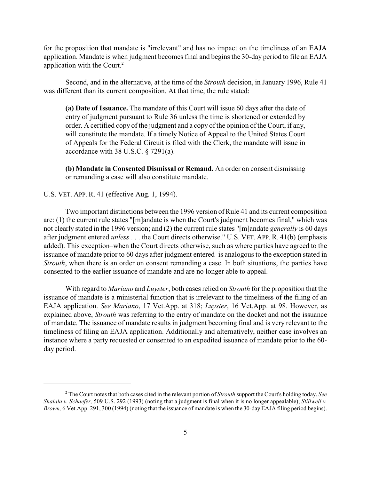for the proposition that mandate is "irrelevant" and has no impact on the timeliness of an EAJA application. Mandate is when judgment becomes final and begins the 30-day period to file an EAJA application with the Court.<sup>2</sup>

Second, and in the alternative, at the time of the *Strouth* decision, in January 1996, Rule 41 was different than its current composition. At that time, the rule stated:

**(a) Date of Issuance.** The mandate of this Court will issue 60 days after the date of entry of judgment pursuant to Rule 36 unless the time is shortened or extended by order. A certified copy of the judgment and a copy of the opinion of the Court, if any, will constitute the mandate. If a timely Notice of Appeal to the United States Court of Appeals for the Federal Circuit is filed with the Clerk, the mandate will issue in accordance with 38 U.S.C. § 7291(a).

**(b) Mandate in Consented Dismissal or Remand.** An order on consent dismissing or remanding a case will also constitute mandate.

## U.S. VET. APP. R. 41 (effective Aug. 1, 1994).

Two important distinctions between the 1996 version of Rule 41 and its current composition are: (1) the current rule states "[m]andate is when the Court's judgment becomes final," which was not clearly stated in the 1996 version; and (2) the current rule states "[m]andate *generally* is 60 days after judgment entered *unless* . . . the Court directs otherwise." U.S. VET. APP. R. 41(b) (emphasis added). This exception–when the Court directs otherwise, such as where parties have agreed to the issuance of mandate prior to 60 days after judgment entered–is analogous to the exception stated in *Strouth*, when there is an order on consent remanding a case. In both situations, the parties have consented to the earlier issuance of mandate and are no longer able to appeal.

With regard to *Mariano* and *Luyster*, both cases relied on *Strouth* for the proposition that the issuance of mandate is a ministerial function that is irrelevant to the timeliness of the filing of an EAJA application. *See Mariano*, 17 Vet.App. at 318; *Luyster*, 16 Vet.App. at 98. However, as explained above, *Strouth* was referring to the entry of mandate on the docket and not the issuance of mandate. The issuance of mandate results in judgment becoming final and is very relevant to the timeliness of filing an EAJA application. Additionally and alternatively, neither case involves an instance where a party requested or consented to an expedited issuance of mandate prior to the 60 day period.

The Court notes that both cases cited in the relevant portion of *Strouth* support the Court's holding today. *See* <sup>2</sup> *Shalala v. Schaefer,* 509 U.S. 292 (1993) (noting that a judgment is final when it is no longer appealable); *Stillwell v. Brown,* 6 Vet.App. 291, 300 (1994) (noting that the issuance of mandate is when the 30-day EAJA filing period begins).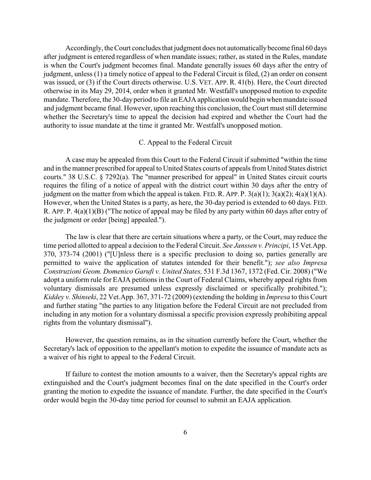Accordingly, the Court concludes that judgment does not automaticallybecome final 60 days after judgment is entered regardless of when mandate issues; rather, as stated in the Rules, mandate is when the Court's judgment becomes final. Mandate generally issues 60 days after the entry of judgment, unless (1) a timely notice of appeal to the Federal Circuit is filed, (2) an order on consent was issued, or (3) if the Court directs otherwise. U.S. VET. APP. R. 41(b). Here, the Court directed otherwise in its May 29, 2014, order when it granted Mr. Westfall's unopposed motion to expedite mandate. Therefore, the 30-day period to file an EAJA application would begin when mandate issued and judgment became final. However, upon reaching this conclusion, the Court must still determine whether the Secretary's time to appeal the decision had expired and whether the Court had the authority to issue mandate at the time it granted Mr. Westfall's unopposed motion.

#### C. Appeal to the Federal Circuit

A case may be appealed from this Court to the Federal Circuit if submitted "within the time and in the manner prescribed for appeal to United States courts of appeals from United States district courts." 38 U.S.C. § 7292(a). The "manner prescribed for appeal" in United States circuit courts requires the filing of a notice of appeal with the district court within 30 days after the entry of judgment on the matter from which the appeal is taken. FED. R. APP. P.  $3(a)(1)$ ;  $3(a)(2)$ ;  $4(a)(1)(A)$ . However, when the United States is a party, as here, the 30-day period is extended to 60 days. FED. R. APP. P. 4(a)(1)(B) ("The notice of appeal may be filed by any party within 60 days after entry of the judgment or order [being] appealed.").

The law is clear that there are certain situations where a party, or the Court, may reduce the time period allotted to appeal a decision to the Federal Circuit. *See Janssen v. Principi*, 15 Vet.App. 370, 373-74 (2001) ("[U]nless there is a specific preclusion to doing so, parties generally are permitted to waive the application of statutes intended for their benefit."); *see also Impresa Construzioni Geom. Domenico Garufi v. United States,* 531 F.3d 1367, 1372 (Fed. Cir. 2008) ("We adopt a uniform rule for EAJA petitions in the Court of Federal Claims, whereby appeal rights from voluntary dismissals are presumed unless expressly disclaimed or specifically prohibited."); *Kiddey v. Shinseki*, 22 Vet.App. 367, 371-72 (2009) (extending the holding in *Impresa* to this Court and further stating "the parties to any litigation before the Federal Circuit are not precluded from including in any motion for a voluntary dismissal a specific provision expressly prohibiting appeal rights from the voluntary dismissal").

However, the question remains, as in the situation currently before the Court, whether the Secretary's lack of opposition to the appellant's motion to expedite the issuance of mandate acts as a waiver of his right to appeal to the Federal Circuit.

If failure to contest the motion amounts to a waiver, then the Secretary's appeal rights are extinguished and the Court's judgment becomes final on the date specified in the Court's order granting the motion to expedite the issuance of mandate. Further, the date specified in the Court's order would begin the 30-day time period for counsel to submit an EAJA application.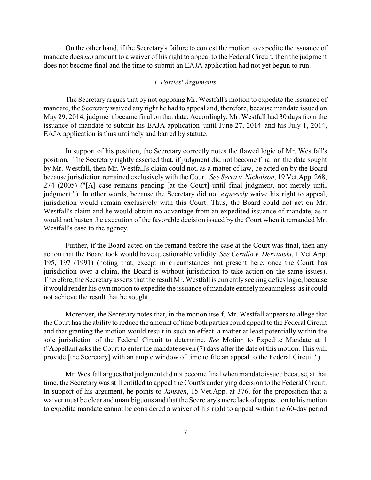On the other hand, if the Secretary's failure to contest the motion to expedite the issuance of mandate does *not* amount to a waiver of his right to appeal to the Federal Circuit, then the judgment does not become final and the time to submit an EAJA application had not yet begun to run.

#### *i. Parties' Arguments*

The Secretary argues that by not opposing Mr. Westfall's motion to expedite the issuance of mandate, the Secretary waived any right he had to appeal and, therefore, because mandate issued on May 29, 2014, judgment became final on that date. Accordingly, Mr. Westfall had 30 days from the issuance of mandate to submit his EAJA application–until June 27, 2014–and his July 1, 2014, EAJA application is thus untimely and barred by statute.

In support of his position, the Secretary correctly notes the flawed logic of Mr. Westfall's position. The Secretary rightly asserted that, if judgment did not become final on the date sought by Mr. Westfall, then Mr. Westfall's claim could not, as a matter of law, be acted on by the Board because jurisdiction remained exclusively with the Court. *See Serra v. Nicholson*, 19 Vet.App. 268, 274 (2005) ("[A] case remains pending [at the Court] until final judgment, not merely until judgment."). In other words, because the Secretary did not *expressly* waive his right to appeal, jurisdiction would remain exclusively with this Court. Thus, the Board could not act on Mr. Westfall's claim and he would obtain no advantage from an expedited issuance of mandate, as it would not hasten the execution of the favorable decision issued by the Court when it remanded Mr. Westfall's case to the agency.

Further, if the Board acted on the remand before the case at the Court was final, then any action that the Board took would have questionable validity. *See Cerullo v. Derwinski*, 1 Vet.App. 195, 197 (1991) (noting that, except in circumstances not present here, once the Court has jurisdiction over a claim, the Board is without jurisdiction to take action on the same issues). Therefore, the Secretary asserts that the result Mr. Westfall is currently seeking defies logic, because it would render his own motion to expedite the issuance of mandate entirelymeaningless, as it could not achieve the result that he sought.

Moreover, the Secretary notes that, in the motion itself, Mr. Westfall appears to allege that the Court has the ability to reduce the amount of time both parties could appeal to the Federal Circuit and that granting the motion would result in such an effect–a matter at least potentially within the sole jurisdiction of the Federal Circuit to determine. *See* Motion to Expedite Mandate at 1 ("Appellant asks the Court to enter the mandate seven (7) days after the date of this motion. This will provide [the Secretary] with an ample window of time to file an appeal to the Federal Circuit.").

Mr. Westfall argues that judgment did not become final when mandate issued because, at that time, the Secretary was still entitled to appeal the Court's underlying decision to the Federal Circuit. In support of his argument, he points to *Janssen*, 15 Vet.App. at 376, for the proposition that a waiver must be clear and unambiguous and that the Secretary's mere lack of opposition to his motion to expedite mandate cannot be considered a waiver of his right to appeal within the 60-day period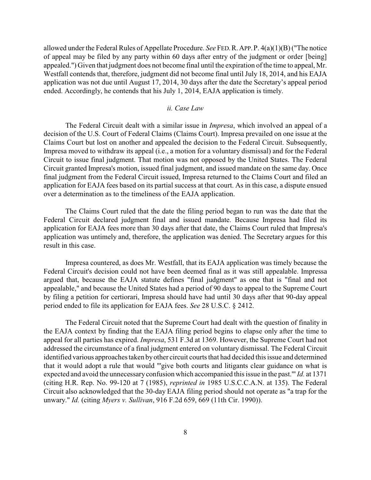allowed under the Federal Rules of Appellate Procedure. *See* FED.R.APP.P. 4(a)(1)(B)("The notice of appeal may be filed by any party within 60 days after entry of the judgment or order [being] appealed.") Given that judgment does not become final until the expiration of the time to appeal, Mr. Westfall contends that, therefore, judgment did not become final until July 18, 2014, and his EAJA application was not due until August 17, 2014, 30 days after the date the Secretary's appeal period ended. Accordingly, he contends that his July 1, 2014, EAJA application is timely.

# *ii. Case Law*

The Federal Circuit dealt with a similar issue in *Impresa*, which involved an appeal of a decision of the U.S. Court of Federal Claims (Claims Court). Impresa prevailed on one issue at the Claims Court but lost on another and appealed the decision to the Federal Circuit. Subsequently, Impresa moved to withdraw its appeal (i.e., a motion for a voluntary dismissal) and for the Federal Circuit to issue final judgment. That motion was not opposed by the United States. The Federal Circuit granted Impresa's motion, issued final judgment, and issued mandate on the same day. Once final judgment from the Federal Circuit issued, Impresa returned to the Claims Court and filed an application for EAJA fees based on its partial success at that court. As in this case, a dispute ensued over a determination as to the timeliness of the EAJA application.

The Claims Court ruled that the date the filing period began to run was the date that the Federal Circuit declared judgment final and issued mandate. Because Impresa had filed its application for EAJA fees more than 30 days after that date, the Claims Court ruled that Impresa's application was untimely and, therefore, the application was denied. The Secretary argues for this result in this case.

Impresa countered, as does Mr. Westfall, that its EAJA application was timely because the Federal Circuit's decision could not have been deemed final as it was still appealable. Impressa argued that, because the EAJA statute defines "final judgment" as one that is "final and not appealable," and because the United States had a period of 90 days to appeal to the Supreme Court by filing a petition for certiorari, Impresa should have had until 30 days after that 90-day appeal period ended to file its application for EAJA fees. *See* 28 U.S.C. § 2412.

The Federal Circuit noted that the Supreme Court had dealt with the question of finality in the EAJA context by finding that the EAJA filing period begins to elapse only after the time to appeal for all parties has expired. *Impresa*, 531 F.3d at 1369. However, the Supreme Court had not addressed the circumstance of a final judgment entered on voluntary dismissal. The Federal Circuit identified various approaches taken byother circuit courts that had decided this issue and determined that it would adopt a rule that would "'give both courts and litigants clear guidance on what is expected and avoid the unnecessary confusion which accompanied this issue in the past.'" *Id.* at 1371 (citing H.R. Rep. No. 99-120 at 7 (1985), *reprinted in* 1985 U.S.C.C.A.N. at 135). The Federal Circuit also acknowledged that the 30-day EAJA filing period should not operate as "a trap for the unwary." *Id.* (citing *Myers v. Sullivan*, 916 F.2d 659, 669 (11th Cir. 1990)).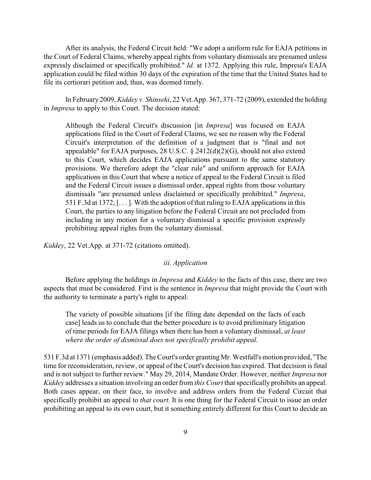After its analysis, the Federal Circuit held: "We adopt a uniform rule for EAJA petitions in the Court of Federal Claims, whereby appeal rights from voluntary dismissals are presumed unless expressly disclaimed or specifically prohibited." *Id.* at 1372. Applying this rule, Impresa's EAJA application could be filed within 30 days of the expiration of the time that the United States had to file its certiorari petition and, thus, was deemed timely.

In February 2009, *Kiddey v. Shinseki*, 22 Vet.App. 367, 371-72 (2009), extended the holding in *Impresa* to apply to this Court. The decision stated:

Although the Federal Circuit's discussion [in *Impresa*] was focused on EAJA applications filed in the Court of Federal Claims, we see no reason why the Federal Circuit's interpretation of the definition of a judgment that is "final and not appealable" for EAJA purposes,  $28 \text{ U.S.C.}$   $\S$   $2412(d)(2)(G)$ , should not also extend to this Court, which decides EAJA applications pursuant to the same statutory provisions. We therefore adopt the "clear rule" and uniform approach for EAJA applications in this Court that where a notice of appeal to the Federal Circuit is filed and the Federal Circuit issues a dismissal order, appeal rights from those voluntary dismissals "are presumed unless disclaimed or specifically prohibited." *Impresa*, 531 F.3d at 1372; [. . . ]. With the adoption of that ruling to EAJA applications in this Court, the parties to any litigation before the Federal Circuit are not precluded from including in any motion for a voluntary dismissal a specific provision expressly prohibiting appeal rights from the voluntary dismissal.

*Kiddey*, 22 Vet.App. at 371-72 (citations omitted).

## *iii. Application*

Before applying the holdings in *Impresa* and *Kiddey* to the facts of this case, there are two aspects that must be considered. First is the sentence in *Impresa* that might provide the Court with the authority to terminate a party's right to appeal:

The variety of possible situations [if the filing date depended on the facts of each case] leads us to conclude that the better procedure is to avoid preliminary litigation of time periods for EAJA filings when there has been a voluntary dismissal, *at least where the order of dismissal does not specifically prohibit appeal*.

531 F.3d at 1371 (emphasis added). The Court's order grantingMr. Westfall's motion provided, "The time for reconsideration, review, or appeal of the Court's decision has expired. That decision is final and is not subject to further review." May 29, 2014, Mandate Order. However, neither *Impresa* nor *Kiddey* addresses a situation involving an order from *this Court* that specifically prohibits an appeal. Both cases appear, on their face, to involve and address orders from the Federal Circuit that specifically prohibit an appeal to *that court*. It is one thing for the Federal Circuit to issue an order prohibiting an appeal to its own court, but it something entirely different for this Court to decide an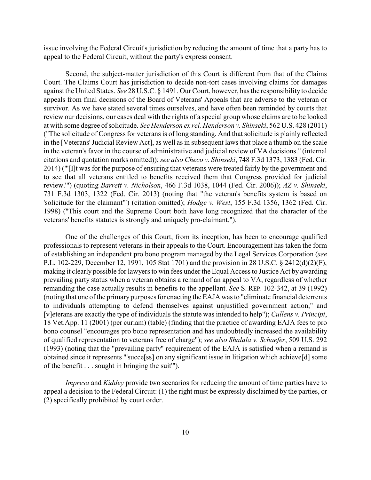issue involving the Federal Circuit's jurisdiction by reducing the amount of time that a party has to appeal to the Federal Circuit, without the party's express consent.

Second, the subject-matter jurisdiction of this Court is different from that of the Claims Court. The Claims Court has jurisdiction to decide non-tort cases involving claims for damages against the United States. *See* 28 U.S.C. § 1491. Our Court, however, has the responsibility to decide appeals from final decisions of the Board of Veterans' Appeals that are adverse to the veteran or survivor. As we have stated several times ourselves, and have often been reminded by courts that review our decisions, our cases deal with the rights of a special group whose claims are to be looked at with some degree of solicitude. *See Henderson ex rel. Henderson v. Shinseki*, 562 U.S. 428 (2011) ("The solicitude of Congress for veterans is of long standing. And that solicitude is plainly reflected in the [Veterans'Judicial Review Act], as well as in subsequent laws that place a thumb on the scale in the veteran's favor in the course of administrative and judicial review of VA decisions." (internal citations and quotation marks omitted)); *see also Checo v. Shinseki*, 748 F.3d 1373, 1383 (Fed. Cir. 2014) ("'[I]t was for the purpose of ensuring that veterans were treated fairly by the government and to see that all veterans entitled to benefits received them that Congress provided for judicial review.'") (quoting *Barrett v. Nicholson*, 466 F.3d 1038, 1044 (Fed. Cir. 2006)); *AZ v. Shinseki*, 731 F.3d 1303, 1322 (Fed. Cir. 2013) (noting that "the veteran's benefits system is based on 'solicitude for the claimant'") (citation omitted); *Hodge v. West*, 155 F.3d 1356, 1362 (Fed. Cir. 1998) ("This court and the Supreme Court both have long recognized that the character of the veterans' benefits statutes is strongly and uniquely pro-claimant.").

One of the challenges of this Court, from its inception, has been to encourage qualified professionals to represent veterans in their appeals to the Court. Encouragement has taken the form of establishing an independent pro bono program managed by the Legal Services Corporation (*see* P.L. 102-229, December 12, 1991, 105 Stat 1701) and the provision in 28 U.S.C. § 2412(d)(2)(F), making it clearly possible for lawyers to win fees under the Equal Access to Justice Act by awarding prevailing party status when a veteran obtains a remand of an appeal to VA, regardless of whether remanding the case actually results in benefits to the appellant. *See* S. REP. 102-342, at 39 (1992) (noting that one of the primarypurposes for enacting the EAJA was to "eliminate financial deterrents to individuals attempting to defend themselves against unjustified government action," and [v]eterans are exactly the type of individuals the statute was intended to help"); *Cullens v. Principi*, 18 Vet.App. 11 (2001) (per curiam) (table) (finding that the practice of awarding EAJA fees to pro bono counsel "encourages pro bono representation and has undoubtedly increased the availability of qualified representation to veterans free of charge"); *see also Shalala v. Schaefer*, 509 U.S. 292 (1993) (noting that the "prevailing party" requirement of the EAJA is satisfied when a remand is obtained since it represents "'succe[ss] on any significant issue in litigation which achieve[d] some of the benefit . . . sought in bringing the suit'").

*Impresa* and *Kiddey* provide two scenarios for reducing the amount of time parties have to appeal a decision to the Federal Circuit: (1) the right must be expressly disclaimed by the parties, or (2) specifically prohibited by court order.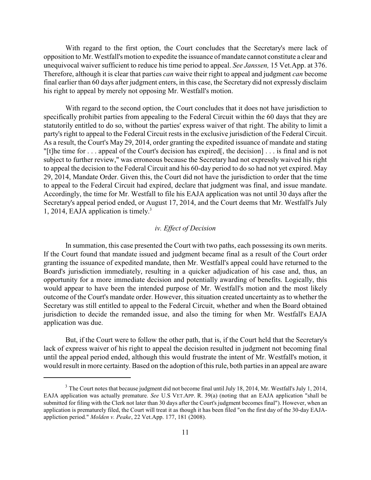With regard to the first option, the Court concludes that the Secretary's mere lack of opposition to Mr. Westfall's motion to expedite the issuance of mandate cannot constitute a clear and unequivocal waiver sufficient to reduce his time period to appeal. *See Janssen*, 15 Vet.App. at 376. Therefore, although it is clear that parties *can* waive their right to appeal and judgment *can* become final earlier than 60 days after judgment enters, in this case, the Secretary did not expressly disclaim his right to appeal by merely not opposing Mr. Westfall's motion.

With regard to the second option, the Court concludes that it does not have jurisdiction to specifically prohibit parties from appealing to the Federal Circuit within the 60 days that they are statutorily entitled to do so, without the parties' express waiver of that right. The ability to limit a party's right to appeal to the Federal Circuit rests in the exclusive jurisdiction of the Federal Circuit. As a result, the Court's May 29, 2014, order granting the expedited issuance of mandate and stating "[t]he time for . . . appeal of the Court's decision has expired[, the decision] . . . is final and is not subject to further review," was erroneous because the Secretary had not expressly waived his right to appeal the decision to the Federal Circuit and his 60-day period to do so had not yet expired. May 29, 2014, Mandate Order. Given this, the Court did not have the jurisdiction to order that the time to appeal to the Federal Circuit had expired, declare that judgment was final, and issue mandate. Accordingly, the time for Mr. Westfall to file his EAJA application was not until 30 days after the Secretary's appeal period ended, or August 17, 2014, and the Court deems that Mr. Westfall's July 1, 2014, EAJA application is timely. 3

# *iv. Effect of Decision*

In summation, this case presented the Court with two paths, each possessing its own merits. If the Court found that mandate issued and judgment became final as a result of the Court order granting the issuance of expedited mandate, then Mr. Westfall's appeal could have returned to the Board's jurisdiction immediately, resulting in a quicker adjudication of his case and, thus, an opportunity for a more immediate decision and potentially awarding of benefits. Logically, this would appear to have been the intended purpose of Mr. Westfall's motion and the most likely outcome of the Court's mandate order. However, this situation created uncertainty as to whether the Secretary was still entitled to appeal to the Federal Circuit, whether and when the Board obtained jurisdiction to decide the remanded issue, and also the timing for when Mr. Westfall's EAJA application was due.

But, if the Court were to follow the other path, that is, if the Court held that the Secretary's lack of express waiver of his right to appeal the decision resulted in judgment not becoming final until the appeal period ended, although this would frustrate the intent of Mr. Westfall's motion, it would result in more certainty. Based on the adoption of this rule, both parties in an appeal are aware

 $3$  The Court notes that because judgment did not become final until July 18, 2014, Mr. Westfall's July 1, 2014, EAJA application was actually premature. *See* U.S VET.APP. R. 39(a) (noting that an EAJA application "shall be submitted for filing with the Clerk not later than 30 days after the Court's judgment becomes final"). However, when an application is prematurely filed, the Court will treat it as though it has been filed "on the first day of the 30-day EAJAappliction period." *Molden v. Peake*, 22 Vet.App. 177, 181 (2008).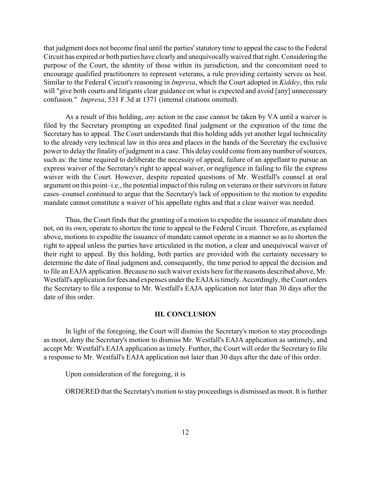that judgment does not become final until the parties'statutory time to appeal the case to the Federal Circuit has expired or both parties have clearly and unequivocallywaived that right. Considering the purpose of the Court, the identity of those within its jurisdiction, and the concomitant need to encourage qualified practitioners to represent veterans, a rule providing certainty serves us best. Similar to the Federal Circuit's reasoning in *Impresa*, which the Court adopted in *Kiddey*, this rule will "give both courts and litigants clear guidance on what is expected and avoid [any] unnecessary confusion." *Impresa*, 531 F.3d at 1371 (internal citations omitted).

As a result of this holding, *any* action in the case cannot be taken by VA until a waiver is filed by the Secretary prompting an expedited final judgment or the expiration of the time the Secretary has to appeal. The Court understands that this holding adds yet another legal technicality to the already very technical law in this area and places in the hands of the Secretary the exclusive power to delay the finality of judgment in a case. This delay could come from any number of sources, such as: the time required to deliberate the necessity of appeal, failure of an appellant to pursue an express waiver of the Secretary's right to appeal waiver, or negligence in failing to file the express waiver with the Court. However, despite repeated questions of Mr. Westfall's counsel at oral argument on this point–i.e., the potential impact of this ruling on veterans or their survivors in future cases–counsel continued to argue that the Secretary's lack of opposition to the motion to expedite mandate cannot constitute a waiver of his appellate rights and that a clear waiver was needed.

Thus, the Court finds that the granting of a motion to expedite the issuance of mandate does not, on its own, operate to shorten the time to appeal to the Federal Circuit. Therefore, as explained above, motions to expedite the issuance of mandate cannot operate in a manner so as to shorten the right to appeal unless the parties have articulated in the motion, a clear and unequivocal waiver of their right to appeal. By this holding, both parties are provided with the certainty necessary to determine the date of final judgment and, consequently, the time period to appeal the decision and to file an EAJA application. Because no such waiver exists here for the reasons described above, Mr. Westfall's application for fees and expenses under the EAJA is timely. Accordingly, the Court orders the Secretary to file a response to Mr. Westfall's EAJA application not later than 30 days after the date of this order.

## **III. CONCLUSION**

In light of the foregoing, the Court will dismiss the Secretary's motion to stay proceedings as moot, deny the Secretary's motion to dismiss Mr. Westfall's EAJA application as untimely, and accept Mr. Westfall's EAJA application as timely. Further, the Court will order the Secretary to file a response to Mr. Westfall's EAJA application not later than 30 days after the date of this order.

Upon consideration of the foregoing, it is

ORDERED that the Secretary's motion to stay proceedings is dismissed as moot. It is further